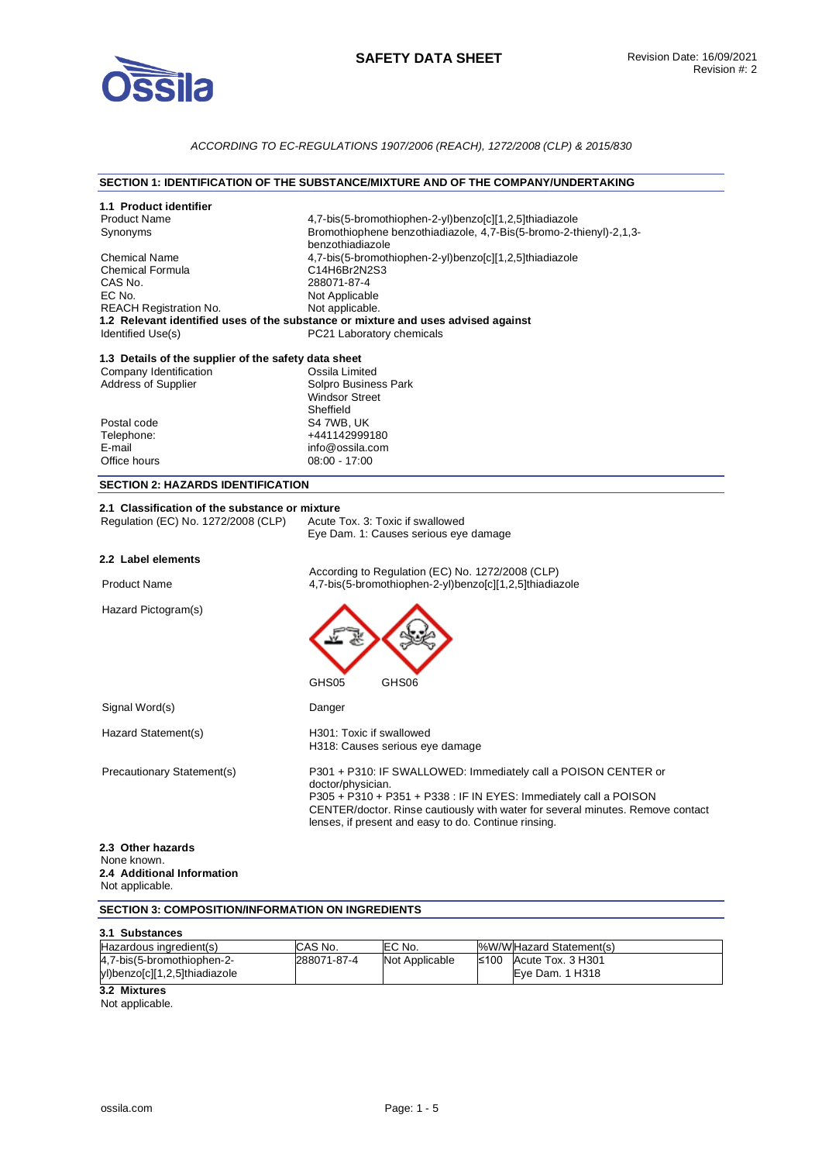

# *ACCORDING TO EC-REGULATIONS 1907/2006 (REACH), 1272/2008 (CLP) & 2015/830*

## **SECTION 1: IDENTIFICATION OF THE SUBSTANCE/MIXTURE AND OF THE COMPANY/UNDERTAKING**

| 1.1 Product identifier                                   |                                                                                                                                                                                                             |
|----------------------------------------------------------|-------------------------------------------------------------------------------------------------------------------------------------------------------------------------------------------------------------|
| <b>Product Name</b><br>Synonyms                          | 4,7-bis(5-bromothiophen-2-yl)benzo[c][1,2,5]thiadiazole<br>Bromothiophene benzothiadiazole, 4,7-Bis(5-bromo-2-thienyl)-2,1,3-                                                                               |
|                                                          | benzothiadiazole                                                                                                                                                                                            |
| <b>Chemical Name</b>                                     | 4,7-bis(5-bromothiophen-2-yl)benzo[c][1,2,5]thiadiazole                                                                                                                                                     |
| <b>Chemical Formula</b>                                  | C14H6Br2N2S3                                                                                                                                                                                                |
| CAS No.                                                  | 288071-87-4                                                                                                                                                                                                 |
| EC No.                                                   | Not Applicable                                                                                                                                                                                              |
| <b>REACH Registration No.</b>                            | Not applicable.                                                                                                                                                                                             |
|                                                          | 1.2 Relevant identified uses of the substance or mixture and uses advised against                                                                                                                           |
| Identified Use(s)                                        | PC21 Laboratory chemicals                                                                                                                                                                                   |
| 1.3 Details of the supplier of the safety data sheet     |                                                                                                                                                                                                             |
| Company Identification                                   | Ossila Limited                                                                                                                                                                                              |
| <b>Address of Supplier</b>                               | Solpro Business Park                                                                                                                                                                                        |
|                                                          | <b>Windsor Street</b>                                                                                                                                                                                       |
|                                                          | Sheffield                                                                                                                                                                                                   |
| Postal code                                              | S4 7WB, UK                                                                                                                                                                                                  |
| Telephone:                                               | +441142999180                                                                                                                                                                                               |
| E-mail                                                   | info@ossila.com                                                                                                                                                                                             |
| Office hours                                             | $08:00 - 17:00$                                                                                                                                                                                             |
| <b>SECTION 2: HAZARDS IDENTIFICATION</b>                 |                                                                                                                                                                                                             |
| 2.1 Classification of the substance or mixture           |                                                                                                                                                                                                             |
| Regulation (EC) No. 1272/2008 (CLP)                      | Acute Tox. 3: Toxic if swallowed                                                                                                                                                                            |
|                                                          | Eye Dam. 1: Causes serious eye damage                                                                                                                                                                       |
|                                                          |                                                                                                                                                                                                             |
| 2.2 Label elements                                       |                                                                                                                                                                                                             |
| <b>Product Name</b>                                      | According to Regulation (EC) No. 1272/2008 (CLP)<br>4,7-bis(5-bromothiophen-2-yl)benzo[c][1,2,5]thiadiazole                                                                                                 |
| Hazard Pictogram(s)                                      |                                                                                                                                                                                                             |
|                                                          |                                                                                                                                                                                                             |
|                                                          | GHS05<br>GHS06                                                                                                                                                                                              |
| Signal Word(s)                                           | Danger                                                                                                                                                                                                      |
| Hazard Statement(s)                                      | H301: Toxic if swallowed                                                                                                                                                                                    |
|                                                          | H318: Causes serious eye damage                                                                                                                                                                             |
| Precautionary Statement(s)                               | P301 + P310: IF SWALLOWED: Immediately call a POISON CENTER or<br>doctor/physician.                                                                                                                         |
|                                                          | P305 + P310 + P351 + P338 : IF IN EYES: Immediately call a POISON<br>CENTER/doctor. Rinse cautiously with water for several minutes. Remove contact<br>lenses, if present and easy to do. Continue rinsing. |
| 2.3 Other hazards                                        |                                                                                                                                                                                                             |
| None known.                                              |                                                                                                                                                                                                             |
| 2.4 Additional Information                               |                                                                                                                                                                                                             |
| Not applicable.                                          |                                                                                                                                                                                                             |
| <b>SECTION 3: COMPOSITION/INFORMATION ON INGREDIENTS</b> |                                                                                                                                                                                                             |
|                                                          |                                                                                                                                                                                                             |

| 3.1 Substances                                              |             |                |                                             |
|-------------------------------------------------------------|-------------|----------------|---------------------------------------------|
| Hazardous ingredient(s)                                     | CAS No.     | EC No.         | %W/WHazard Statement(s)                     |
| 4,7-bis(5-bromothiophen-2-<br>yl)benzo[c][1,2,5]thiadiazole | 288071-87-4 | Not Applicable | $≤100$ Acute Tox. 3 H301<br>Eye Dam. 1 H318 |

**3.2 Mixtures** 

Not applicable.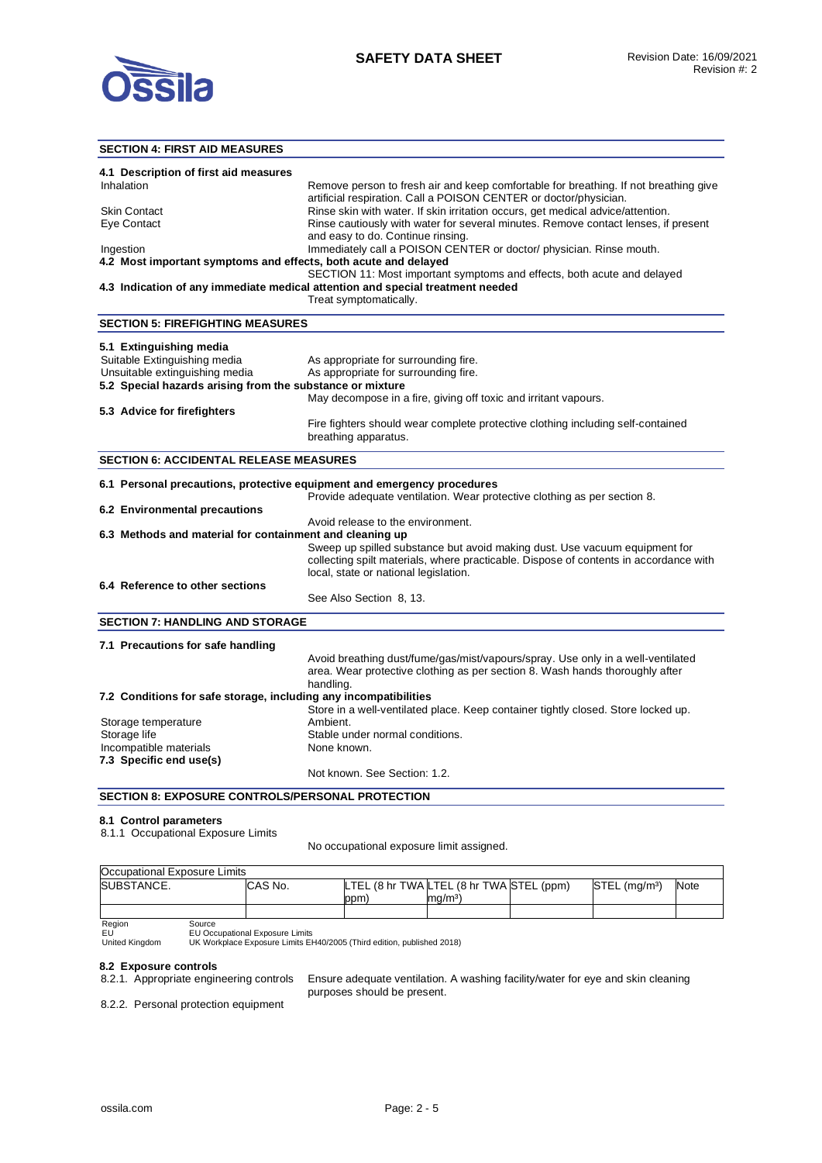

## **SECTION 4: FIRST AID MEASURES**

| 4.1 Description of first aid measures<br>Inhalation                     | Remove person to fresh air and keep comfortable for breathing. If not breathing give                                                                 |
|-------------------------------------------------------------------------|------------------------------------------------------------------------------------------------------------------------------------------------------|
| <b>Skin Contact</b>                                                     | artificial respiration. Call a POISON CENTER or doctor/physician.<br>Rinse skin with water. If skin irritation occurs, get medical advice/attention. |
| Eye Contact                                                             | Rinse cautiously with water for several minutes. Remove contact lenses, if present                                                                   |
|                                                                         | and easy to do. Continue rinsing.                                                                                                                    |
| Ingestion                                                               | Immediately call a POISON CENTER or doctor/ physician. Rinse mouth.                                                                                  |
| 4.2 Most important symptoms and effects, both acute and delayed         |                                                                                                                                                      |
|                                                                         | SECTION 11: Most important symptoms and effects, both acute and delayed                                                                              |
|                                                                         | 4.3 Indication of any immediate medical attention and special treatment needed                                                                       |
|                                                                         | Treat symptomatically.                                                                                                                               |
| <b>SECTION 5: FIREFIGHTING MEASURES</b>                                 |                                                                                                                                                      |
| 5.1 Extinguishing media                                                 |                                                                                                                                                      |
| Suitable Extinguishing media                                            | As appropriate for surrounding fire.                                                                                                                 |
| Unsuitable extinguishing media                                          | As appropriate for surrounding fire.                                                                                                                 |
| 5.2 Special hazards arising from the substance or mixture               |                                                                                                                                                      |
|                                                                         | May decompose in a fire, giving off toxic and irritant vapours.                                                                                      |
| 5.3 Advice for firefighters                                             |                                                                                                                                                      |
|                                                                         | Fire fighters should wear complete protective clothing including self-contained                                                                      |
|                                                                         | breathing apparatus.                                                                                                                                 |
| <b>SECTION 6: ACCIDENTAL RELEASE MEASURES</b>                           |                                                                                                                                                      |
| 6.1 Personal precautions, protective equipment and emergency procedures |                                                                                                                                                      |
|                                                                         | Provide adequate ventilation. Wear protective clothing as per section 8.                                                                             |
| 6.2 Environmental precautions                                           |                                                                                                                                                      |
|                                                                         | Avoid release to the environment.                                                                                                                    |
| 6.3 Methods and material for containment and cleaning up                |                                                                                                                                                      |
|                                                                         | Sweep up spilled substance but avoid making dust. Use vacuum equipment for                                                                           |
|                                                                         | collecting spilt materials, where practicable. Dispose of contents in accordance with                                                                |
|                                                                         | local, state or national legislation.                                                                                                                |
| 6.4 Reference to other sections                                         |                                                                                                                                                      |
|                                                                         | See Also Section 8, 13.                                                                                                                              |
| <b>SECTION 7: HANDLING AND STORAGE</b>                                  |                                                                                                                                                      |
| 7.1 Precautions for safe handling                                       |                                                                                                                                                      |
|                                                                         | Avoid breathing dust/fume/gas/mist/vapours/spray. Use only in a well-ventilated                                                                      |
|                                                                         | area. Wear protective clothing as per section 8. Wash hands thoroughly after                                                                         |
|                                                                         | handling.                                                                                                                                            |
| 7.2 Conditions for safe storage, including any incompatibilities        |                                                                                                                                                      |
|                                                                         | Store in a well-ventilated place. Keep container tightly closed. Store locked up.<br>Ambient.                                                        |
| Storage temperature                                                     |                                                                                                                                                      |
| Storage life<br>Incompatible materials                                  | Stable under normal conditions.<br>None known.                                                                                                       |
| 7.3 Specific end use(s)                                                 |                                                                                                                                                      |
|                                                                         | Not known. See Section: 1.2.                                                                                                                         |
| <b>SECTION 8: EXPOSURE CONTROLS/PERSONAL PROTECTION</b>                 |                                                                                                                                                      |

#### **8.1 Control parameters**

8.1.1 Occupational Exposure Limits

No occupational exposure limit assigned.

| Occupational Exposure Limits |         |     |                                          |                           |      |
|------------------------------|---------|-----|------------------------------------------|---------------------------|------|
| ISUBSTANCE.                  | CAS No. |     | LTEL (8 hr TWA LTEL (8 hr TWA STEL (ppm) | STEL (mg/m <sup>3</sup> ) | Note |
|                              |         | ppm | $\text{Im}\alpha/\text{m}^3$             |                           |      |
|                              |         |     |                                          |                           |      |

Region<br>EU<br>United Kingdom EU EU Occupational Exposure Limits United Kingdom UK Workplace Exposure Limits EH40/2005 (Third edition, published 2018)

# **8.2 Exposure controls**

Ensure adequate ventilation. A washing facility/water for eye and skin cleaning purposes should be present.

8.2.2. Personal protection equipment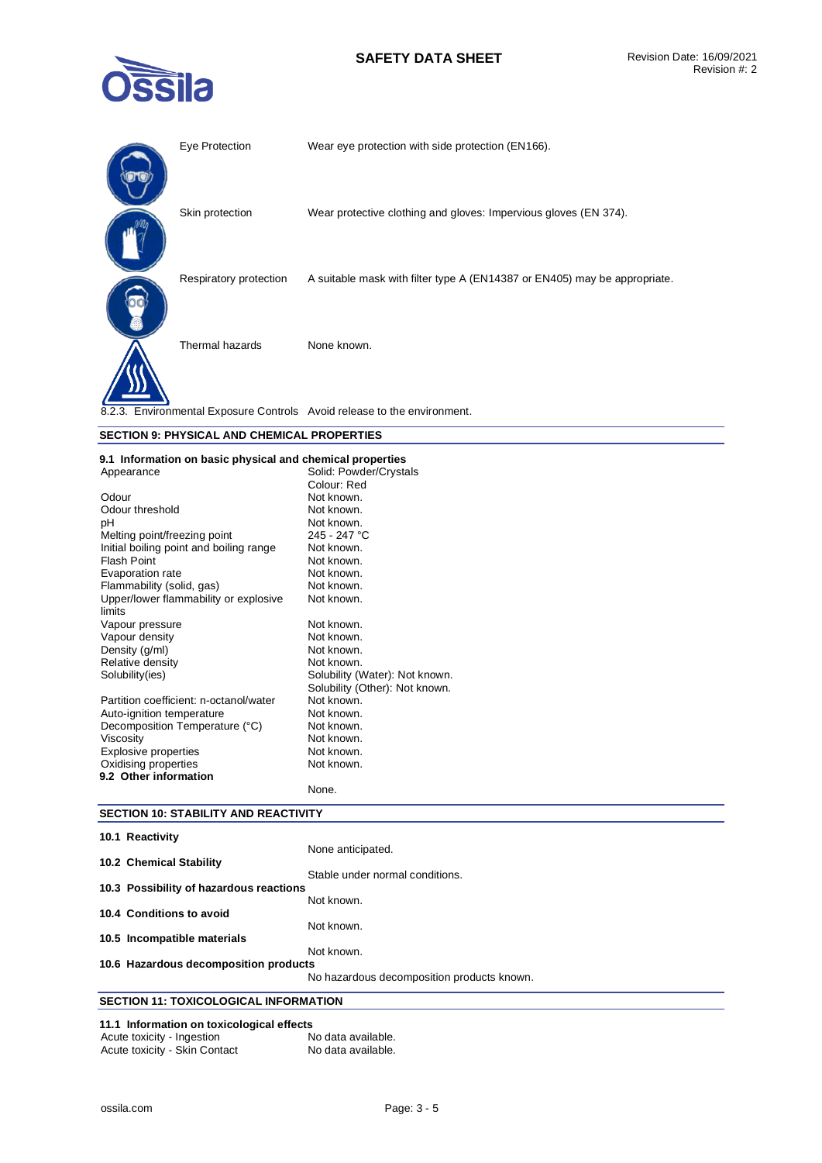# **SAFETY DATA SHEET** Revision Date: 16/09/2021



| Eye Protection         | Wear eye protection with side protection (EN166).                         |
|------------------------|---------------------------------------------------------------------------|
| Skin protection        | Wear protective clothing and gloves: Impervious gloves (EN 374).          |
| Respiratory protection | A suitable mask with filter type A (EN14387 or EN405) may be appropriate. |
| Thermal hazards        | None known.                                                               |
|                        | 8.2.3. Environmental Exposure Controls Avoid release to the environment.  |

## **SECTION 9: PHYSICAL AND CHEMICAL PROPERTIES**

## **9.1 Information on basic physical and chemical properties**

| Appearance                              | Solid: Powder/Crystals         |
|-----------------------------------------|--------------------------------|
|                                         | Colour: Red                    |
| Odour                                   | Not known.                     |
| Odour threshold                         | Not known.                     |
| pН                                      | Not known.                     |
| Melting point/freezing point            | 245 - 247 °C                   |
| Initial boiling point and boiling range | Not known.                     |
| Flash Point                             | Not known.                     |
| Evaporation rate                        | Not known.                     |
| Flammability (solid, gas)               | Not known.                     |
| Upper/lower flammability or explosive   | Not known.                     |
| limits                                  |                                |
| Vapour pressure                         | Not known.                     |
| Vapour density                          | Not known.                     |
| Density (g/ml)                          | Not known.                     |
| Relative density                        | Not known.                     |
| Solubility(ies)                         | Solubility (Water): Not known. |
|                                         | Solubility (Other): Not known. |
| Partition coefficient: n-octanol/water  | Not known.                     |
| Auto-ignition temperature               | Not known.                     |
| Decomposition Temperature (°C)          | Not known.                     |
| Viscosity                               | Not known.                     |
| Explosive properties                    | Not known.                     |
| Oxidising properties                    | Not known.                     |
| 9.2 Other information                   |                                |
|                                         | None.                          |

## **SECTION 10: STABILITY AND REACTIVITY**

| 10.1 Reactivity                         |                                            |
|-----------------------------------------|--------------------------------------------|
|                                         | None anticipated.                          |
| 10.2 Chemical Stability                 |                                            |
|                                         | Stable under normal conditions.            |
| 10.3 Possibility of hazardous reactions |                                            |
|                                         | Not known.                                 |
| 10.4 Conditions to avoid                |                                            |
|                                         | Not known.                                 |
| 10.5 Incompatible materials             |                                            |
|                                         | Not known.                                 |
| 10.6 Hazardous decomposition products   |                                            |
|                                         | No hazardous decomposition products known. |
| SECTION 11- TOXICOLOGICAL INFORMATION   |                                            |

## **SECTION 11: TOXICOLOGICAL INFORMATION**

# **11.1 Information on toxicological effects**

| Acute toxicity - Ingestion    | No data available. |
|-------------------------------|--------------------|
| Acute toxicity - Skin Contact | No data available. |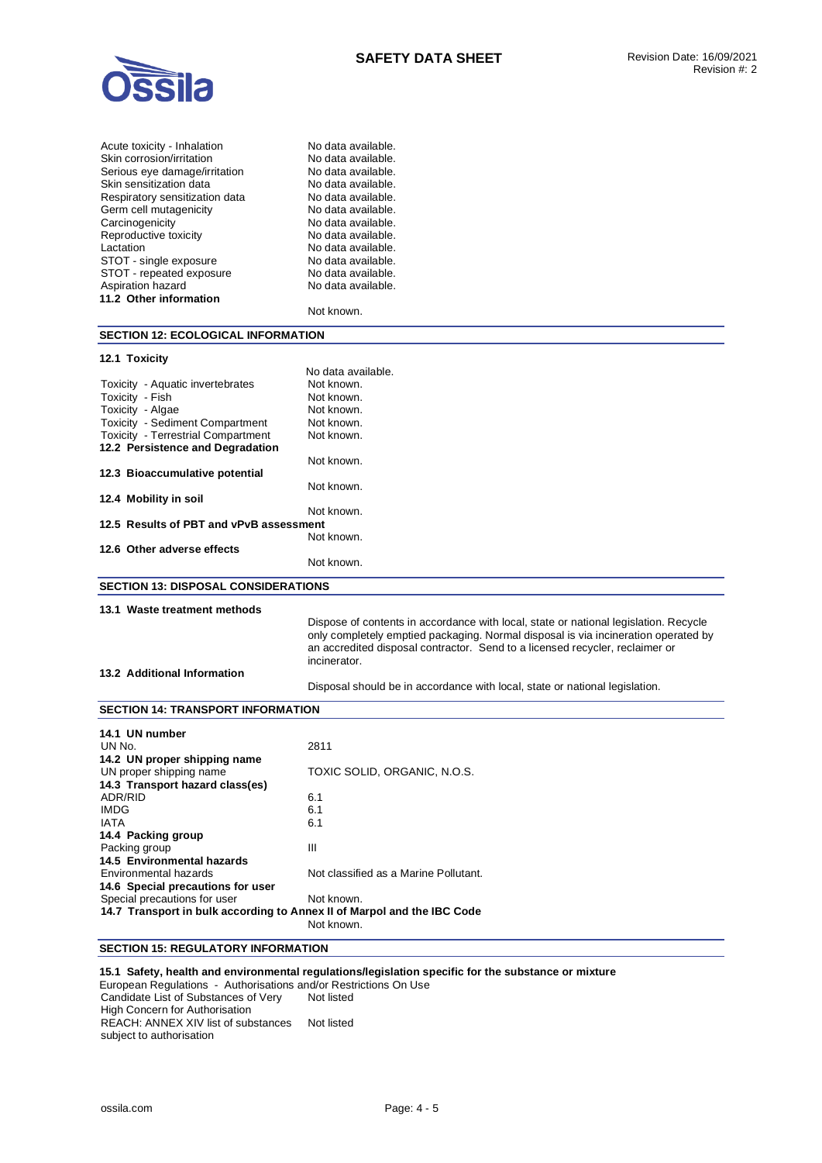

| No data available. |
|--------------------|
| No data available. |
| No data available. |
| No data available. |
| No data available. |
| No data available. |
| No data available. |
| No data available. |
| No data available. |
| No data available. |
| No data available. |
| No data available. |
|                    |
| Not known.         |
|                    |

#### **SECTION 12: ECOLOGICAL INFORMATION**

#### **12.1 Toxicity**

|                                           | No data available. |
|-------------------------------------------|--------------------|
| Toxicity - Aquatic invertebrates          | Not known.         |
| Toxicity - Fish                           | Not known.         |
| Toxicity - Algae                          | Not known.         |
| <b>Toxicity - Sediment Compartment</b>    | Not known.         |
| <b>Toxicity</b> - Terrestrial Compartment | Not known.         |
| 12.2 Persistence and Degradation          |                    |
|                                           | Not known.         |
| 12.3 Bioaccumulative potential            |                    |
|                                           | Not known.         |
| 12.4 Mobility in soil                     |                    |
|                                           | Not known.         |
| 12.5 Results of PBT and vPvB assessment   |                    |
|                                           | Not known.         |
| 12.6 Other adverse effects                |                    |
|                                           | Not known.         |
|                                           |                    |

# **SECTION 13: DISPOSAL CONSIDERATIONS**

## **13.1 Waste treatment methods**

Dispose of contents in accordance with local, state or national legislation. Recycle only completely emptied packaging. Normal disposal is via incineration operated by an accredited disposal contractor. Send to a licensed recycler, reclaimer or incinerator.

## **13.2 Additional Information**

Disposal should be in accordance with local, state or national legislation.

## **SECTION 14: TRANSPORT INFORMATION**

| 14.1 UN number                    |                                                                         |  |
|-----------------------------------|-------------------------------------------------------------------------|--|
| UN No.                            | 2811                                                                    |  |
| 14.2 UN proper shipping name      |                                                                         |  |
| UN proper shipping name           | TOXIC SOLID, ORGANIC, N.O.S.                                            |  |
| 14.3 Transport hazard class(es)   |                                                                         |  |
| ADR/RID                           | 6.1                                                                     |  |
| <b>IMDG</b>                       | 6.1                                                                     |  |
| <b>IATA</b>                       | 6.1                                                                     |  |
| 14.4 Packing group                |                                                                         |  |
| Packing group                     | III                                                                     |  |
| 14.5 Environmental hazards        |                                                                         |  |
| Environmental hazards             | Not classified as a Marine Pollutant.                                   |  |
| 14.6 Special precautions for user |                                                                         |  |
| Special precautions for user      | Not known.                                                              |  |
|                                   | 14.7 Transport in bulk according to Annex II of Marpol and the IBC Code |  |
|                                   | Not known.                                                              |  |

# **SECTION 15: REGULATORY INFORMATION**

## **15.1 Safety, health and environmental regulations/legislation specific for the substance or mixture**

European Regulations - Authorisations and/or Restrictions On Use Candidate List of Substances of Very High Concern for Authorisation Not listed REACH: ANNEX XIV list of substances Not listed subject to authorisation